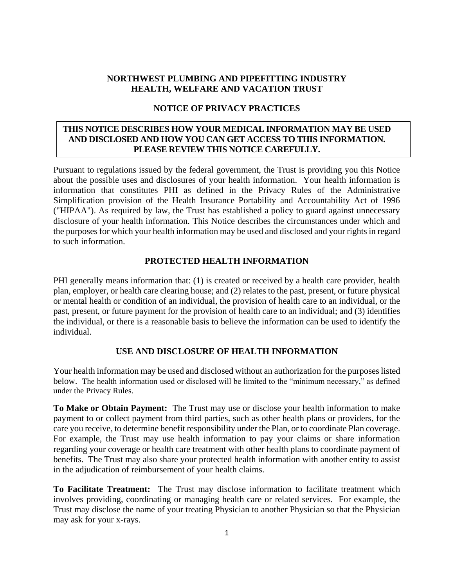### **NORTHWEST PLUMBING AND PIPEFITTING INDUSTRY HEALTH, WELFARE AND VACATION TRUST**

#### **NOTICE OF PRIVACY PRACTICES**

# **THIS NOTICE DESCRIBES HOW YOUR MEDICAL INFORMATION MAY BE USED AND DISCLOSED AND HOW YOU CAN GET ACCESS TO THIS INFORMATION. PLEASE REVIEW THIS NOTICE CAREFULLY.**

Pursuant to regulations issued by the federal government, the Trust is providing you this Notice about the possible uses and disclosures of your health information. Your health information is information that constitutes PHI as defined in the Privacy Rules of the Administrative Simplification provision of the Health Insurance Portability and Accountability Act of 1996 ("HIPAA"). As required by law, the Trust has established a policy to guard against unnecessary disclosure of your health information. This Notice describes the circumstances under which and the purposes for which your health information may be used and disclosed and your rights in regard to such information.

## **PROTECTED HEALTH INFORMATION**

PHI generally means information that: (1) is created or received by a health care provider, health plan, employer, or health care clearing house; and (2) relates to the past, present, or future physical or mental health or condition of an individual, the provision of health care to an individual, or the past, present, or future payment for the provision of health care to an individual; and (3) identifies the individual, or there is a reasonable basis to believe the information can be used to identify the individual.

## **USE AND DISCLOSURE OF HEALTH INFORMATION**

Your health information may be used and disclosed without an authorization for the purposes listed below. The health information used or disclosed will be limited to the "minimum necessary," as defined under the Privacy Rules.

**To Make or Obtain Payment:** The Trust may use or disclose your health information to make payment to or collect payment from third parties, such as other health plans or providers, for the care you receive, to determine benefit responsibility under the Plan, or to coordinate Plan coverage. For example, the Trust may use health information to pay your claims or share information regarding your coverage or health care treatment with other health plans to coordinate payment of benefits. The Trust may also share your protected health information with another entity to assist in the adjudication of reimbursement of your health claims.

**To Facilitate Treatment:** The Trust may disclose information to facilitate treatment which involves providing, coordinating or managing health care or related services. For example, the Trust may disclose the name of your treating Physician to another Physician so that the Physician may ask for your x-rays.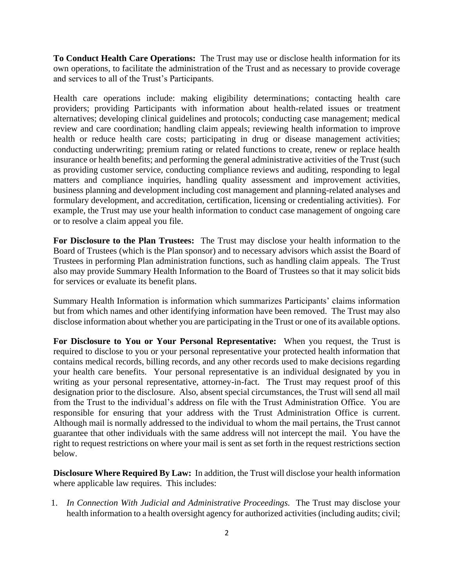**To Conduct Health Care Operations:** The Trust may use or disclose health information for its own operations, to facilitate the administration of the Trust and as necessary to provide coverage and services to all of the Trust's Participants.

Health care operations include: making eligibility determinations; contacting health care providers; providing Participants with information about health-related issues or treatment alternatives; developing clinical guidelines and protocols; conducting case management; medical review and care coordination; handling claim appeals; reviewing health information to improve health or reduce health care costs; participating in drug or disease management activities; conducting underwriting; premium rating or related functions to create, renew or replace health insurance or health benefits; and performing the general administrative activities of the Trust (such as providing customer service, conducting compliance reviews and auditing, responding to legal matters and compliance inquiries, handling quality assessment and improvement activities, business planning and development including cost management and planning-related analyses and formulary development, and accreditation, certification, licensing or credentialing activities). For example, the Trust may use your health information to conduct case management of ongoing care or to resolve a claim appeal you file.

**For Disclosure to the Plan Trustees:** The Trust may disclose your health information to the Board of Trustees (which is the Plan sponsor) and to necessary advisors which assist the Board of Trustees in performing Plan administration functions, such as handling claim appeals. The Trust also may provide Summary Health Information to the Board of Trustees so that it may solicit bids for services or evaluate its benefit plans.

Summary Health Information is information which summarizes Participants' claims information but from which names and other identifying information have been removed. The Trust may also disclose information about whether you are participating in the Trust or one of its available options.

**For Disclosure to You or Your Personal Representative:** When you request, the Trust is required to disclose to you or your personal representative your protected health information that contains medical records, billing records, and any other records used to make decisions regarding your health care benefits. Your personal representative is an individual designated by you in writing as your personal representative, attorney-in-fact. The Trust may request proof of this designation prior to the disclosure. Also, absent special circumstances, the Trust will send all mail from the Trust to the individual's address on file with the Trust Administration Office. You are responsible for ensuring that your address with the Trust Administration Office is current. Although mail is normally addressed to the individual to whom the mail pertains, the Trust cannot guarantee that other individuals with the same address will not intercept the mail. You have the right to request restrictions on where your mail is sent as set forth in the request restrictions section below.

**Disclosure Where Required By Law:** In addition, the Trust will disclose your health information where applicable law requires. This includes:

1. *In Connection With Judicial and Administrative Proceedings.* The Trust may disclose your health information to a health oversight agency for authorized activities (including audits; civil;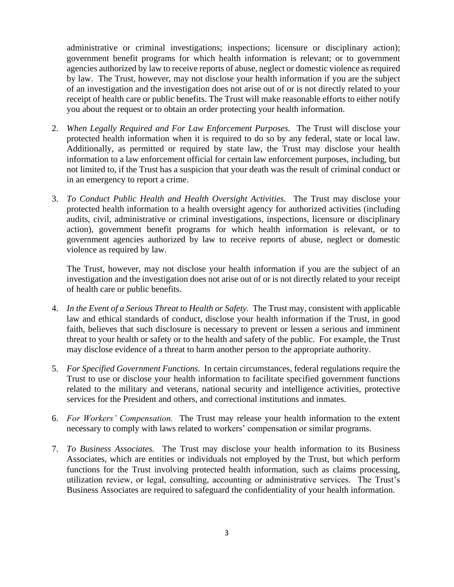administrative or criminal investigations; inspections; licensure or disciplinary action); government benefit programs for which health information is relevant; or to government agencies authorized by law to receive reports of abuse, neglect or domestic violence as required by law. The Trust, however, may not disclose your health information if you are the subject of an investigation and the investigation does not arise out of or is not directly related to your receipt of health care or public benefits. The Trust will make reasonable efforts to either notify you about the request or to obtain an order protecting your health information.

- 2. *When Legally Required and For Law Enforcement Purposes.* The Trust will disclose your protected health information when it is required to do so by any federal, state or local law. Additionally, as permitted or required by state law, the Trust may disclose your health information to a law enforcement official for certain law enforcement purposes, including, but not limited to, if the Trust has a suspicion that your death was the result of criminal conduct or in an emergency to report a crime.
- 3. *To Conduct Public Health and Health Oversight Activities.* The Trust may disclose your protected health information to a health oversight agency for authorized activities (including audits, civil, administrative or criminal investigations, inspections, licensure or disciplinary action), government benefit programs for which health information is relevant, or to government agencies authorized by law to receive reports of abuse, neglect or domestic violence as required by law.

The Trust, however, may not disclose your health information if you are the subject of an investigation and the investigation does not arise out of or is not directly related to your receipt of health care or public benefits.

- 4. *In the Event of a Serious Threat to Health or Safety.* The Trust may, consistent with applicable law and ethical standards of conduct, disclose your health information if the Trust, in good faith, believes that such disclosure is necessary to prevent or lessen a serious and imminent threat to your health or safety or to the health and safety of the public. For example, the Trust may disclose evidence of a threat to harm another person to the appropriate authority.
- 5. *For Specified Government Functions.* In certain circumstances, federal regulations require the Trust to use or disclose your health information to facilitate specified government functions related to the military and veterans, national security and intelligence activities, protective services for the President and others, and correctional institutions and inmates.
- 6. *For Workers' Compensation.* The Trust may release your health information to the extent necessary to comply with laws related to workers' compensation or similar programs.
- 7. *To Business Associates.* The Trust may disclose your health information to its Business Associates, which are entities or individuals not employed by the Trust, but which perform functions for the Trust involving protected health information, such as claims processing, utilization review, or legal, consulting, accounting or administrative services. The Trust's Business Associates are required to safeguard the confidentiality of your health information.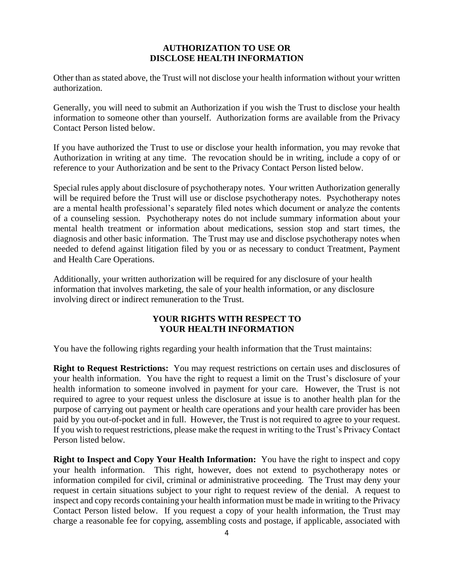### **AUTHORIZATION TO USE OR DISCLOSE HEALTH INFORMATION**

Other than as stated above, the Trust will not disclose your health information without your written authorization.

Generally, you will need to submit an Authorization if you wish the Trust to disclose your health information to someone other than yourself. Authorization forms are available from the Privacy Contact Person listed below.

If you have authorized the Trust to use or disclose your health information, you may revoke that Authorization in writing at any time. The revocation should be in writing, include a copy of or reference to your Authorization and be sent to the Privacy Contact Person listed below.

Special rules apply about disclosure of psychotherapy notes. Your written Authorization generally will be required before the Trust will use or disclose psychotherapy notes. Psychotherapy notes are a mental health professional's separately filed notes which document or analyze the contents of a counseling session. Psychotherapy notes do not include summary information about your mental health treatment or information about medications, session stop and start times, the diagnosis and other basic information. The Trust may use and disclose psychotherapy notes when needed to defend against litigation filed by you or as necessary to conduct Treatment, Payment and Health Care Operations.

Additionally, your written authorization will be required for any disclosure of your health information that involves marketing, the sale of your health information, or any disclosure involving direct or indirect remuneration to the Trust.

# **YOUR RIGHTS WITH RESPECT TO YOUR HEALTH INFORMATION**

You have the following rights regarding your health information that the Trust maintains:

**Right to Request Restrictions:** You may request restrictions on certain uses and disclosures of your health information. You have the right to request a limit on the Trust's disclosure of your health information to someone involved in payment for your care. However, the Trust is not required to agree to your request unless the disclosure at issue is to another health plan for the purpose of carrying out payment or health care operations and your health care provider has been paid by you out-of-pocket and in full. However, the Trust is not required to agree to your request. If you wish to request restrictions, please make the request in writing to the Trust's Privacy Contact Person listed below.

**Right to Inspect and Copy Your Health Information:** You have the right to inspect and copy your health information. This right, however, does not extend to psychotherapy notes or information compiled for civil, criminal or administrative proceeding. The Trust may deny your request in certain situations subject to your right to request review of the denial. A request to inspect and copy records containing your health information must be made in writing to the Privacy Contact Person listed below. If you request a copy of your health information, the Trust may charge a reasonable fee for copying, assembling costs and postage, if applicable, associated with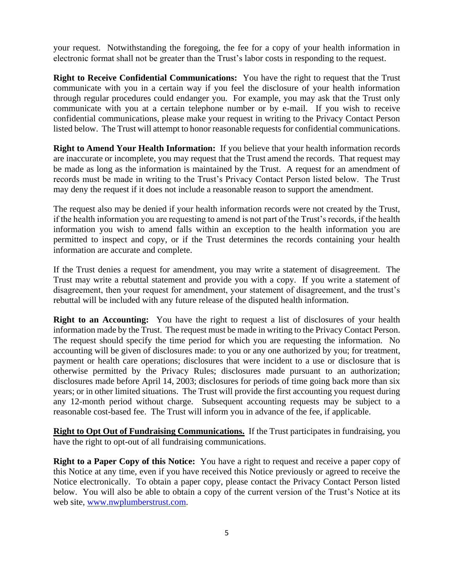your request. Notwithstanding the foregoing, the fee for a copy of your health information in electronic format shall not be greater than the Trust's labor costs in responding to the request.

**Right to Receive Confidential Communications:** You have the right to request that the Trust communicate with you in a certain way if you feel the disclosure of your health information through regular procedures could endanger you. For example, you may ask that the Trust only communicate with you at a certain telephone number or by e-mail. If you wish to receive confidential communications, please make your request in writing to the Privacy Contact Person listed below. The Trust will attempt to honor reasonable requests for confidential communications.

**Right to Amend Your Health Information:** If you believe that your health information records are inaccurate or incomplete, you may request that the Trust amend the records. That request may be made as long as the information is maintained by the Trust. A request for an amendment of records must be made in writing to the Trust's Privacy Contact Person listed below. The Trust may deny the request if it does not include a reasonable reason to support the amendment.

The request also may be denied if your health information records were not created by the Trust, if the health information you are requesting to amend is not part of the Trust's records, if the health information you wish to amend falls within an exception to the health information you are permitted to inspect and copy, or if the Trust determines the records containing your health information are accurate and complete.

If the Trust denies a request for amendment, you may write a statement of disagreement. The Trust may write a rebuttal statement and provide you with a copy. If you write a statement of disagreement, then your request for amendment, your statement of disagreement, and the trust's rebuttal will be included with any future release of the disputed health information.

**Right to an Accounting:** You have the right to request a list of disclosures of your health information made by the Trust. The request must be made in writing to the Privacy Contact Person. The request should specify the time period for which you are requesting the information. No accounting will be given of disclosures made: to you or any one authorized by you; for treatment, payment or health care operations; disclosures that were incident to a use or disclosure that is otherwise permitted by the Privacy Rules; disclosures made pursuant to an authorization; disclosures made before April 14, 2003; disclosures for periods of time going back more than six years; or in other limited situations. The Trust will provide the first accounting you request during any 12-month period without charge. Subsequent accounting requests may be subject to a reasonable cost-based fee. The Trust will inform you in advance of the fee, if applicable.

**Right to Opt Out of Fundraising Communications.** If the Trust participates in fundraising, you have the right to opt-out of all fundraising communications.

**Right to a Paper Copy of this Notice:** You have a right to request and receive a paper copy of this Notice at any time, even if you have received this Notice previously or agreed to receive the Notice electronically. To obtain a paper copy, please contact the Privacy Contact Person listed below. You will also be able to obtain a copy of the current version of the Trust's Notice at its web site, [www.nwplumberstrust.com.](http://www.cementmasonstrust.com/)